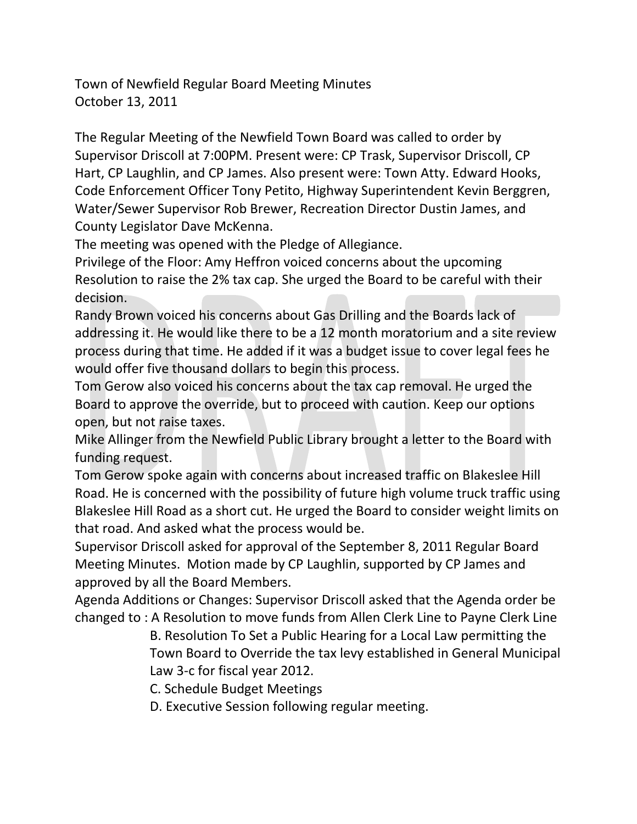The Regular Meeting of the Newfield Town Board was called to order by Supervisor Driscoll at 7:00PM. Present were: CP Trask, Supervisor Driscoll, CP Hart, CP Laughlin, and CP James. Also present were: Town Atty. Edward Hooks, Code Enforcement Officer Tony Petito, Highway Superintendent Kevin Berggren, Water/Sewer Supervisor Rob Brewer, Recreation Director Dustin James, and County Legislator Dave McKenna.

The meeting was opened with the Pledge of Allegiance.

Privilege of the Floor: Amy Heffron voiced concerns about the upcoming Resolution to raise the 2% tax cap. She urged the Board to be careful with their decision.

Randy Brown voiced his concerns about Gas Drilling and the Boards lack of addressing it. He would like there to be a 12 month moratorium and a site review process during that time. He added if it was a budget issue to cover legal fees he would offer five thousand dollars to begin this process.

Tom Gerow also voiced his concerns about the tax cap removal. He urged the Board to approve the override, but to proceed with caution. Keep our options open, but not raise taxes.

Mike Allinger from the Newfield Public Library brought a letter to the Board with funding request.

Tom Gerow spoke again with concerns about increased traffic on Blakeslee Hill Road. He is concerned with the possibility of future high volume truck traffic using Blakeslee Hill Road as a short cut. He urged the Board to consider weight limits on that road. And asked what the process would be.

Supervisor Driscoll asked for approval of the September 8, 2011 Regular Board Meeting Minutes. Motion made by CP Laughlin, supported by CP James and approved by all the Board Members.

Agenda Additions or Changes: Supervisor Driscoll asked that the Agenda order be changed to : A Resolution to move funds from Allen Clerk Line to Payne Clerk Line

> B. Resolution To Set a Public Hearing for a Local Law permitting the Town Board to Override the tax levy established in General Municipal Law 3-c for fiscal year 2012.

C. Schedule Budget Meetings

D. Executive Session following regular meeting.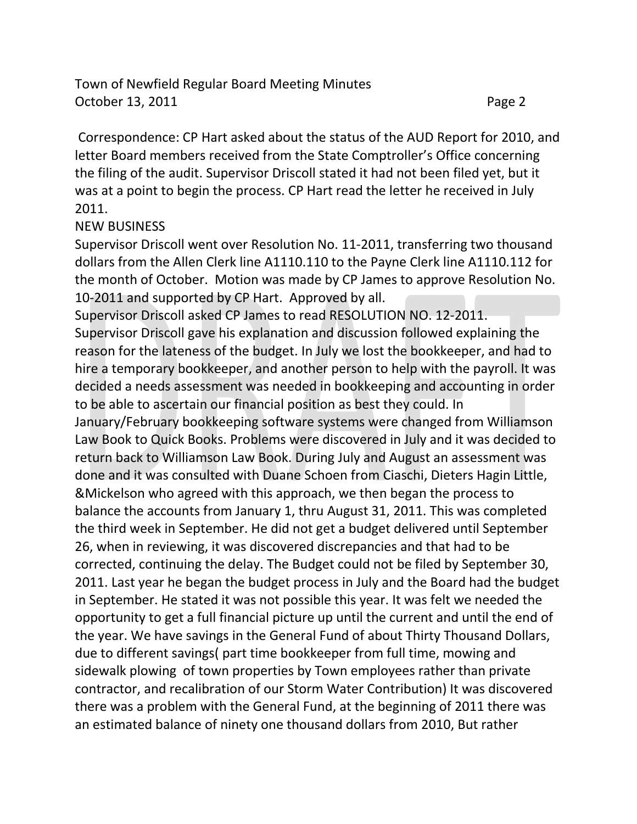Correspondence: CP Hart asked about the status of the AUD Report for 2010, and letter Board members received from the State Comptroller's Office concerning the filing of the audit. Supervisor Driscoll stated it had not been filed yet, but it was at a point to begin the process. CP Hart read the letter he received in July 2011.

## NEW BUSINESS

Supervisor Driscoll went over Resolution No. 11-2011, transferring two thousand dollars from the Allen Clerk line A1110.110 to the Payne Clerk line A1110.112 for the month of October. Motion was made by CP James to approve Resolution No. 10-2011 and supported by CP Hart. Approved by all.

Supervisor Driscoll asked CP James to read RESOLUTION NO. 12-2011.

Supervisor Driscoll gave his explanation and discussion followed explaining the reason for the lateness of the budget. In July we lost the bookkeeper, and had to hire a temporary bookkeeper, and another person to help with the payroll. It was decided a needs assessment was needed in bookkeeping and accounting in order to be able to ascertain our financial position as best they could. In

January/February bookkeeping software systems were changed from Williamson Law Book to Quick Books. Problems were discovered in July and it was decided to return back to Williamson Law Book. During July and August an assessment was done and it was consulted with Duane Schoen from Ciaschi, Dieters Hagin Little, &Mickelson who agreed with this approach, we then began the process to balance the accounts from January 1, thru August 31, 2011. This was completed the third week in September. He did not get a budget delivered until September 26, when in reviewing, it was discovered discrepancies and that had to be corrected, continuing the delay. The Budget could not be filed by September 30, 2011. Last year he began the budget process in July and the Board had the budget in September. He stated it was not possible this year. It was felt we needed the opportunity to get a full financial picture up until the current and until the end of the year. We have savings in the General Fund of about Thirty Thousand Dollars, due to different savings( part time bookkeeper from full time, mowing and sidewalk plowing of town properties by Town employees rather than private contractor, and recalibration of our Storm Water Contribution) It was discovered there was a problem with the General Fund, at the beginning of 2011 there was an estimated balance of ninety one thousand dollars from 2010, But rather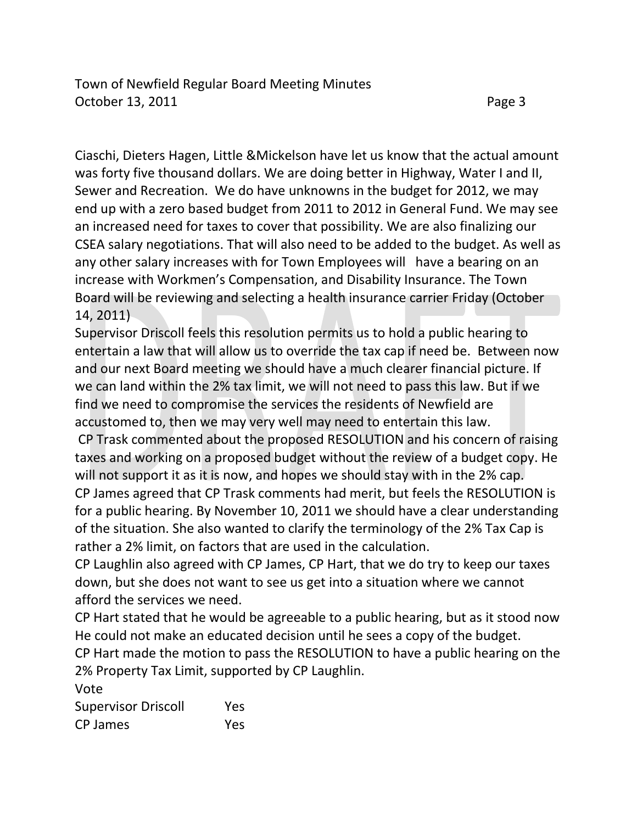Ciaschi, Dieters Hagen, Little &Mickelson have let us know that the actual amount was forty five thousand dollars. We are doing better in Highway, Water I and II, Sewer and Recreation. We do have unknowns in the budget for 2012, we may end up with a zero based budget from 2011 to 2012 in General Fund. We may see an increased need for taxes to cover that possibility. We are also finalizing our CSEA salary negotiations. That will also need to be added to the budget. As well as any other salary increases with for Town Employees will have a bearing on an increase with Workmen's Compensation, and Disability Insurance. The Town Board will be reviewing and selecting a health insurance carrier Friday (October 14, 2011)

Supervisor Driscoll feels this resolution permits us to hold a public hearing to entertain a law that will allow us to override the tax cap if need be. Between now and our next Board meeting we should have a much clearer financial picture. If we can land within the 2% tax limit, we will not need to pass this law. But if we find we need to compromise the services the residents of Newfield are accustomed to, then we may very well may need to entertain this law.

CP Trask commented about the proposed RESOLUTION and his concern of raising taxes and working on a proposed budget without the review of a budget copy. He will not support it as it is now, and hopes we should stay with in the 2% cap.

CP James agreed that CP Trask comments had merit, but feels the RESOLUTION is for a public hearing. By November 10, 2011 we should have a clear understanding of the situation. She also wanted to clarify the terminology of the 2% Tax Cap is rather a 2% limit, on factors that are used in the calculation.

CP Laughlin also agreed with CP James, CP Hart, that we do try to keep our taxes down, but she does not want to see us get into a situation where we cannot afford the services we need.

CP Hart stated that he would be agreeable to a public hearing, but as it stood now He could not make an educated decision until he sees a copy of the budget.

CP Hart made the motion to pass the RESOLUTION to have a public hearing on the 2% Property Tax Limit, supported by CP Laughlin.

Vote

Supervisor Driscoll Yes CP James Yes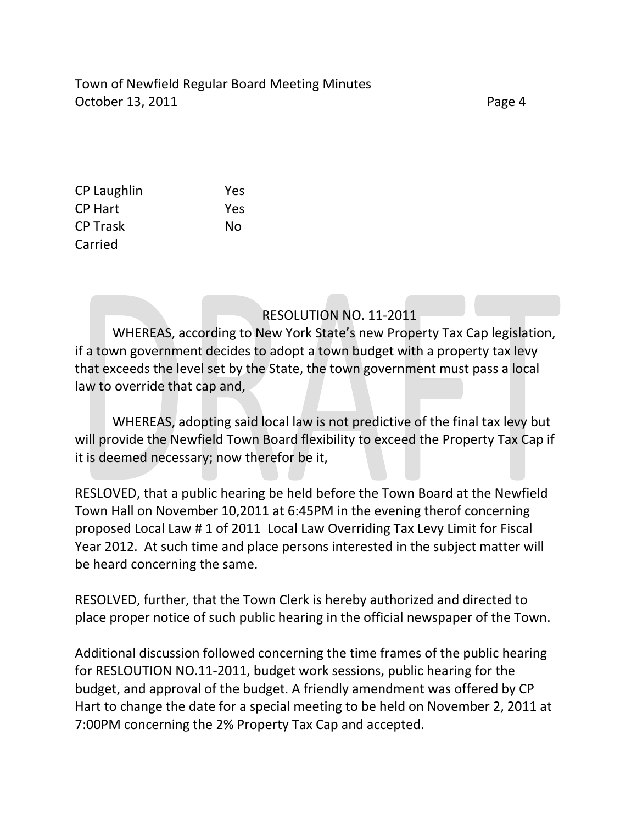| CP Laughlin     | Yes |
|-----------------|-----|
| CP Hart         | Yes |
| <b>CP Trask</b> | Nο  |
| Carried         |     |

RESOLUTION NO. 11-2011

WHEREAS, according to New York State's new Property Tax Cap legislation, if a town government decides to adopt a town budget with a property tax levy that exceeds the level set by the State, the town government must pass a local law to override that cap and,

WHEREAS, adopting said local law is not predictive of the final tax levy but will provide the Newfield Town Board flexibility to exceed the Property Tax Cap if it is deemed necessary; now therefor be it,

RESLOVED, that a public hearing be held before the Town Board at the Newfield Town Hall on November 10,2011 at 6:45PM in the evening therof concerning proposed Local Law # 1 of 2011 Local Law Overriding Tax Levy Limit for Fiscal Year 2012. At such time and place persons interested in the subject matter will be heard concerning the same.

RESOLVED, further, that the Town Clerk is hereby authorized and directed to place proper notice of such public hearing in the official newspaper of the Town.

Additional discussion followed concerning the time frames of the public hearing for RESLOUTION NO.11-2011, budget work sessions, public hearing for the budget, and approval of the budget. A friendly amendment was offered by CP Hart to change the date for a special meeting to be held on November 2, 2011 at 7:00PM concerning the 2% Property Tax Cap and accepted.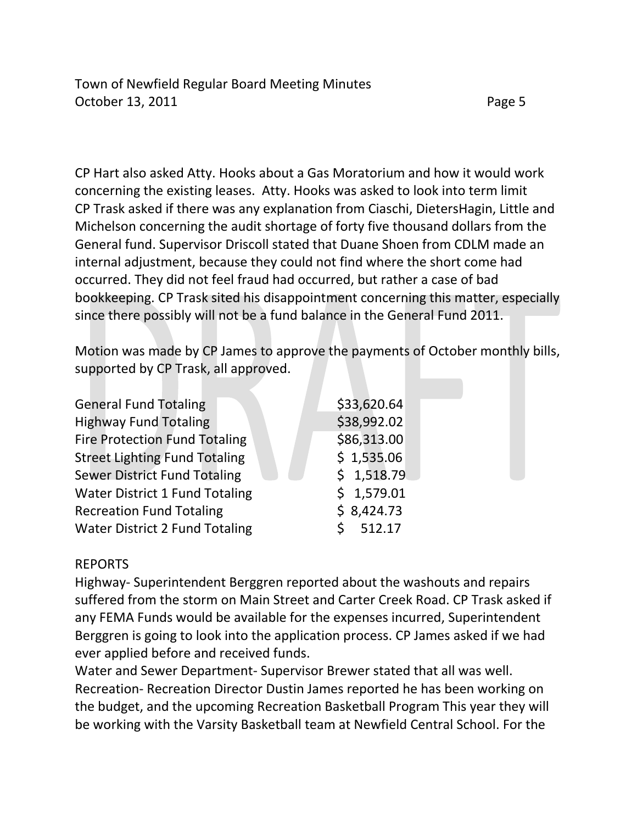CP Hart also asked Atty. Hooks about a Gas Moratorium and how it would work concerning the existing leases. Atty. Hooks was asked to look into term limit CP Trask asked if there was any explanation from Ciaschi, DietersHagin, Little and Michelson concerning the audit shortage of forty five thousand dollars from the General fund. Supervisor Driscoll stated that Duane Shoen from CDLM made an internal adjustment, because they could not find where the short come had occurred. They did not feel fraud had occurred, but rather a case of bad bookkeeping. CP Trask sited his disappointment concerning this matter, especially since there possibly will not be a fund balance in the General Fund 2011.

Motion was made by CP James to approve the payments of October monthly bills, supported by CP Trask, all approved.

| \$33,620.64 |
|-------------|
| \$38,992.02 |
| \$86,313.00 |
| \$1,535.06  |
| \$1,518.79  |
| \$1,579.01  |
| \$8,424.73  |
| 512.17      |
|             |

## REPORTS

Highway- Superintendent Berggren reported about the washouts and repairs suffered from the storm on Main Street and Carter Creek Road. CP Trask asked if any FEMA Funds would be available for the expenses incurred, Superintendent Berggren is going to look into the application process. CP James asked if we had ever applied before and received funds.

Water and Sewer Department- Supervisor Brewer stated that all was well. Recreation- Recreation Director Dustin James reported he has been working on the budget, and the upcoming Recreation Basketball Program This year they will be working with the Varsity Basketball team at Newfield Central School. For the